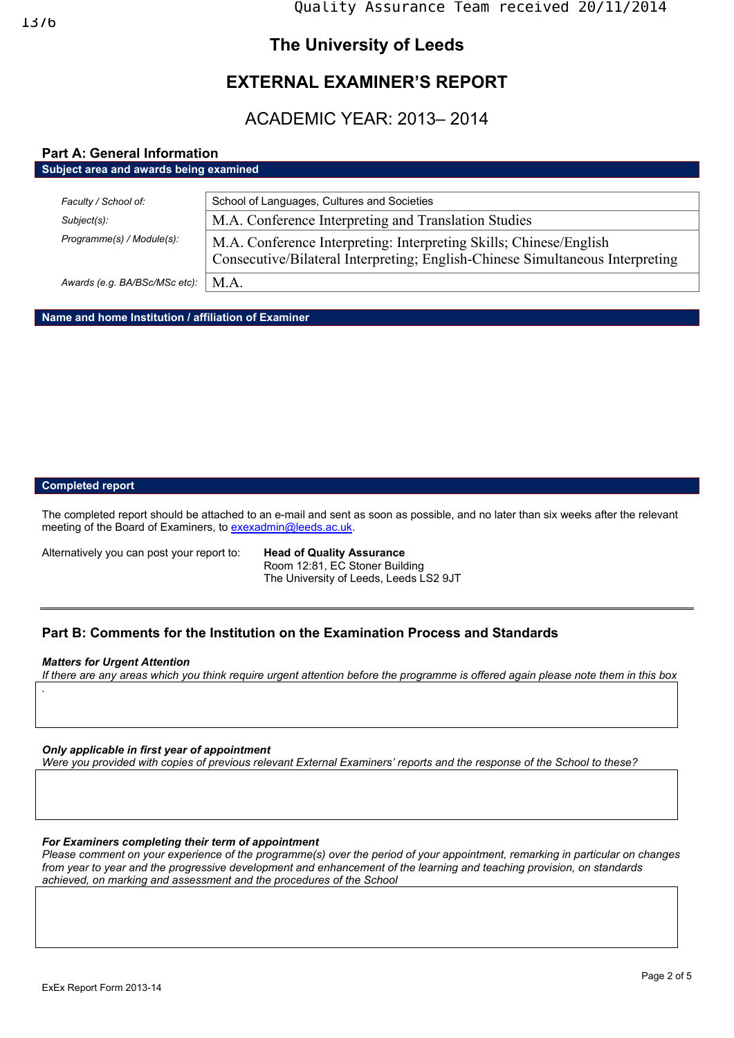## **The University of Leeds**

# **EXTERNAL EXAMINER'S REPORT**

ACADEMIC YEAR: 2013– 2014

## **Part A: General Information**

| Subject area and awards being examined |                                                                                                                                                     |
|----------------------------------------|-----------------------------------------------------------------------------------------------------------------------------------------------------|
|                                        |                                                                                                                                                     |
| Faculty / School of:                   | School of Languages, Cultures and Societies                                                                                                         |
| Subject(s):                            | M.A. Conference Interpreting and Translation Studies                                                                                                |
| Programme(s) / Module(s):              | M.A. Conference Interpreting: Interpreting Skills; Chinese/English<br>Consecutive/Bilateral Interpreting; English-Chinese Simultaneous Interpreting |
| Awards (e.g. BA/BSc/MSc etc):          | M.A.                                                                                                                                                |

**Name and home Institution / affiliation of Examiner** 

#### **Completed report**

The completed report should be attached to an e-mail and sent as soon as possible, and no later than six weeks after the relevant meeting of the Board of Examiners, to exexadmin@leeds.ac.uk.

Alternatively you can post your report to: **Head of Quality Assurance** 

 Room 12:81, EC Stoner Building The University of Leeds, Leeds LS2 9JT

### **Part B: Comments for the Institution on the Examination Process and Standards**

#### *Matters for Urgent Attention*

*If there are any areas which you think require urgent attention before the programme is offered again please note them in this box .*

#### *Only applicable in first year of appointment*

*Were you provided with copies of previous relevant External Examiners' reports and the response of the School to these?* 

#### *For Examiners completing their term of appointment*

*Please comment on your experience of the programme(s) over the period of your appointment, remarking in particular on changes from year to year and the progressive development and enhancement of the learning and teaching provision, on standards achieved, on marking and assessment and the procedures of the School*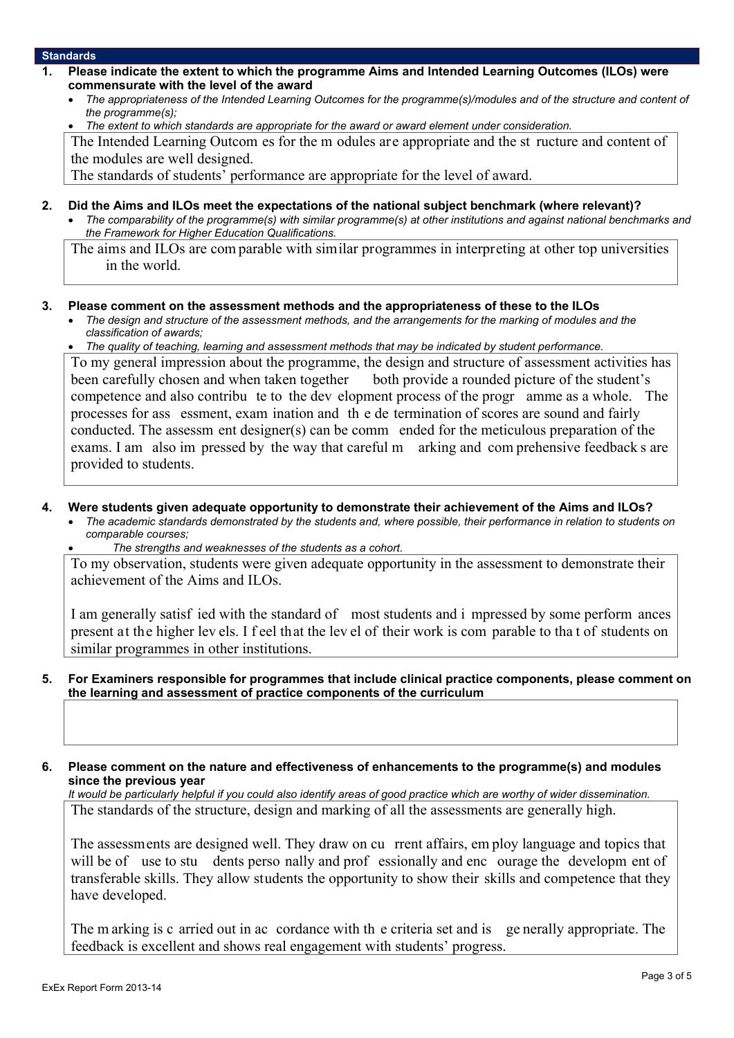#### **Standards**

- **1. Please indicate the extent to which the programme Aims and Intended Learning Outcomes (ILOs) were commensurate with the level of the award** 
	- *The appropriateness of the Intended Learning Outcomes for the programme(s)/modules and of the structure and content of the programme(s);*
	- *The extent to which standards are appropriate for the award or award element under consideration.*

The Intended Learning Outcom es for the m odules are appropriate and the st ructure and content of the modules are well designed.

The standards of students' performance are appropriate for the level of award.

- **2. Did the Aims and ILOs meet the expectations of the national subject benchmark (where relevant)?** 
	- *The comparability of the programme(s) with similar programme(s) at other institutions and against national benchmarks and the Framework for Higher Education Qualifications.*

The aims and ILOs are com parable with similar programmes in interpreting at other top universities in the world.

#### **3. Please comment on the assessment methods and the appropriateness of these to the ILOs**

- *The design and structure of the assessment methods, and the arrangements for the marking of modules and the classification of awards;*
- *The quality of teaching, learning and assessment methods that may be indicated by student performance.*

To my general impression about the programme, the design and structure of assessment activities has been carefully chosen and when taken together both provide a rounded picture of the student's competence and also contribu te to the dev elopment process of the progr amme as a whole. The processes for ass essment, exam ination and th e de termination of scores are sound and fairly conducted. The assessm ent designer(s) can be comm ended for the meticulous preparation of the exams. I am also im pressed by the way that careful m arking and com prehensive feedback s are provided to students.

- **4. Were students given adequate opportunity to demonstrate their achievement of the Aims and ILOs?**
	- *The academic standards demonstrated by the students and, where possible, their performance in relation to students on comparable courses;*
	- *The strengths and weaknesses of the students as a cohort.*

To my observation, students were given adequate opportunity in the assessment to demonstrate their achievement of the Aims and ILOs.

I am generally satisf ied with the standard of most students and i mpressed by some perform ances present at the higher lev els. I f eel that the lev el of their work is com parable to tha t of students on similar programmes in other institutions.

**5. For Examiners responsible for programmes that include clinical practice components, please comment on the learning and assessment of practice components of the curriculum**

**6. Please comment on the nature and effectiveness of enhancements to the programme(s) and modules since the previous year**

*It would be particularly helpful if you could also identify areas of good practice which are worthy of wider dissemination.*  The standards of the structure, design and marking of all the assessments are generally high.

The assessments are designed well. They draw on cu rrent affairs, em ploy language and topics that will be of use to stu dents perso nally and prof essionally and enc ourage the developm ent of transferable skills. They allow students the opportunity to show their skills and competence that they have developed.

The m arking is c arried out in ac cordance with th e criteria set and is ge nerally appropriate. The feedback is excellent and shows real engagement with students' progress.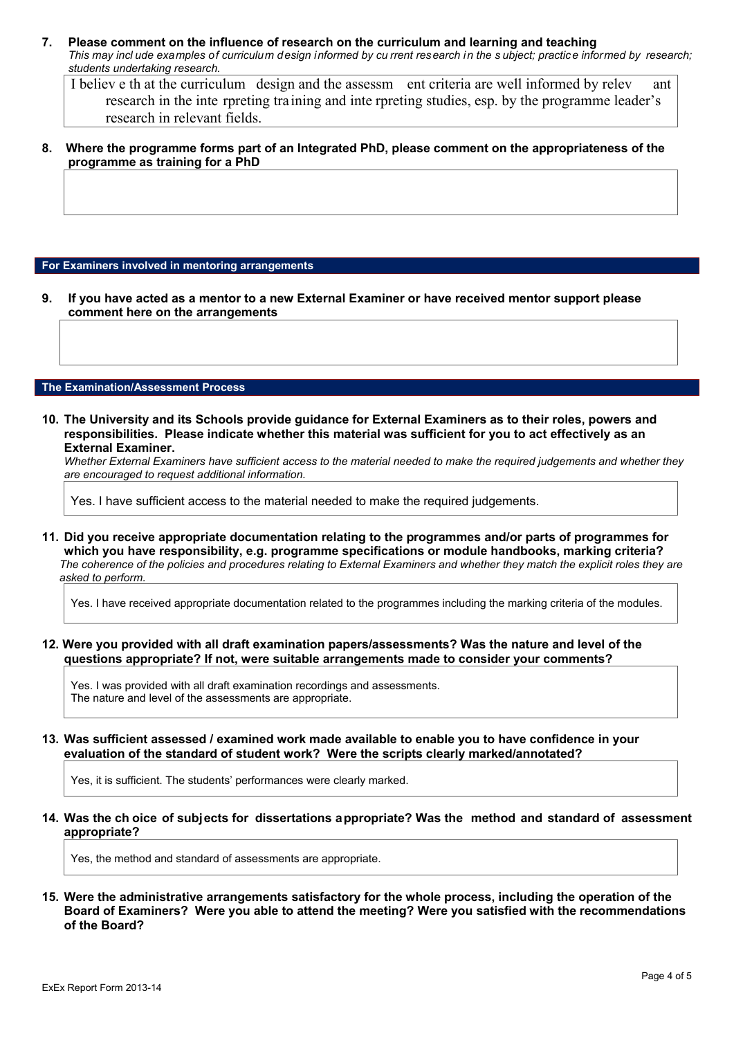**7. Please comment on the influence of research on the curriculum and learning and teaching**  *This may incl ude examples of curriculum design informed by cu rrent research in the s ubject; practice informed by research; students undertaking research.* 

I believ e th at the curriculum design and the assessm ent criteria are well informed by relev ant research in the inte rpreting training and inte rpreting studies, esp. by the programme leader's research in relevant fields.

**8. Where the programme forms part of an Integrated PhD, please comment on the appropriateness of the programme as training for a PhD** 

#### **For Examiners involved in mentoring arrangements**

**9. If you have acted as a mentor to a new External Examiner or have received mentor support please comment here on the arrangements**

#### **The Examination/Assessment Process**

**10. The University and its Schools provide guidance for External Examiners as to their roles, powers and responsibilities. Please indicate whether this material was sufficient for you to act effectively as an External Examiner.**

*Whether External Examiners have sufficient access to the material needed to make the required judgements and whether they are encouraged to request additional information.* 

Yes. I have sufficient access to the material needed to make the required judgements.

**11. Did you receive appropriate documentation relating to the programmes and/or parts of programmes for which you have responsibility, e.g. programme specifications or module handbooks, marking criteria?** *The coherence of the policies and procedures relating to External Examiners and whether they match the explicit roles they are asked to perform.* 

Yes. I have received appropriate documentation related to the programmes including the marking criteria of the modules.

**12. Were you provided with all draft examination papers/assessments? Was the nature and level of the questions appropriate? If not, were suitable arrangements made to consider your comments?** 

Yes. I was provided with all draft examination recordings and assessments. The nature and level of the assessments are appropriate.

**13. Was sufficient assessed / examined work made available to enable you to have confidence in your evaluation of the standard of student work? Were the scripts clearly marked/annotated?** 

Yes, it is sufficient. The students' performances were clearly marked.

**14. Was the ch oice of subjects for dissertations appropriate? Was the method and standard of assessment appropriate?** 

Yes, the method and standard of assessments are appropriate.

**15. Were the administrative arrangements satisfactory for the whole process, including the operation of the Board of Examiners? Were you able to attend the meeting? Were you satisfied with the recommendations of the Board?**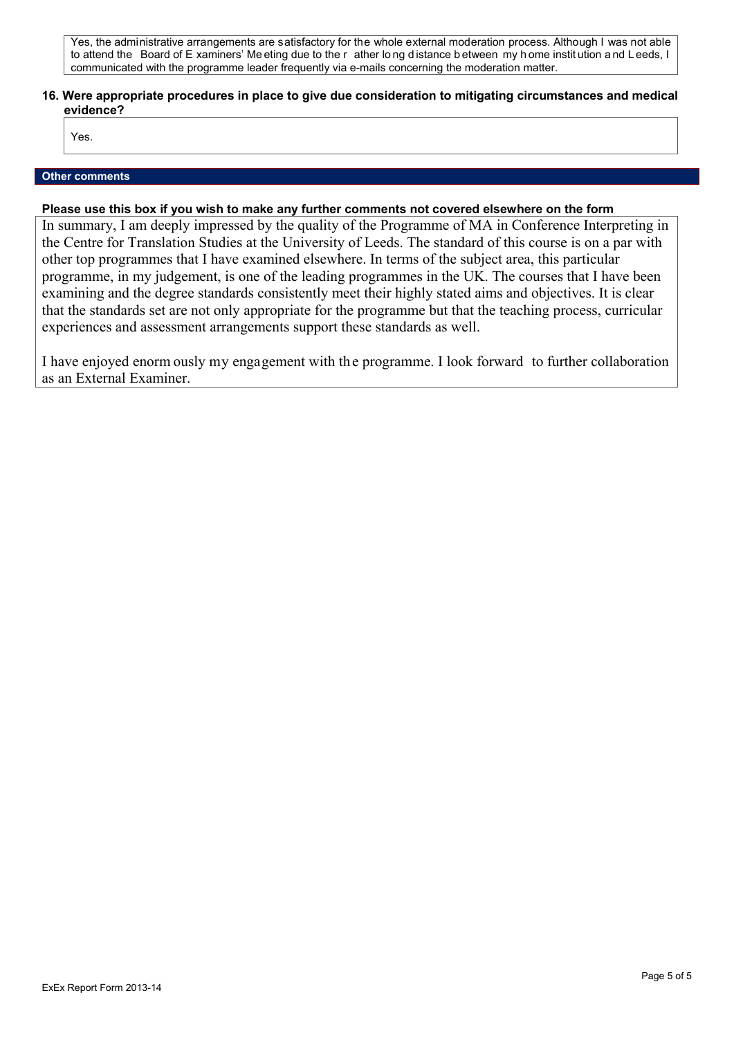Yes, the administrative arrangements are satisfactory for the whole external moderation process. Although I was not able to attend the Board of E xaminers' Me eting due to the r ather lo ng d istance b etween my h ome instit ution a nd L eeds, I communicated with the programme leader frequently via e-mails concerning the moderation matter.

#### **16. Were appropriate procedures in place to give due consideration to mitigating circumstances and medical evidence?**

Yes.

#### **Other comments**

#### **Please use this box if you wish to make any further comments not covered elsewhere on the form**

In summary, I am deeply impressed by the quality of the Programme of MA in Conference Interpreting in the Centre for Translation Studies at the University of Leeds. The standard of this course is on a par with other top programmes that I have examined elsewhere. In terms of the subject area, this particular programme, in my judgement, is one of the leading programmes in the UK. The courses that I have been examining and the degree standards consistently meet their highly stated aims and objectives. It is clear that the standards set are not only appropriate for the programme but that the teaching process, curricular experiences and assessment arrangements support these standards as well.

I have enjoyed enorm ously my engagement with the programme. I look forward to further collaboration as an External Examiner.